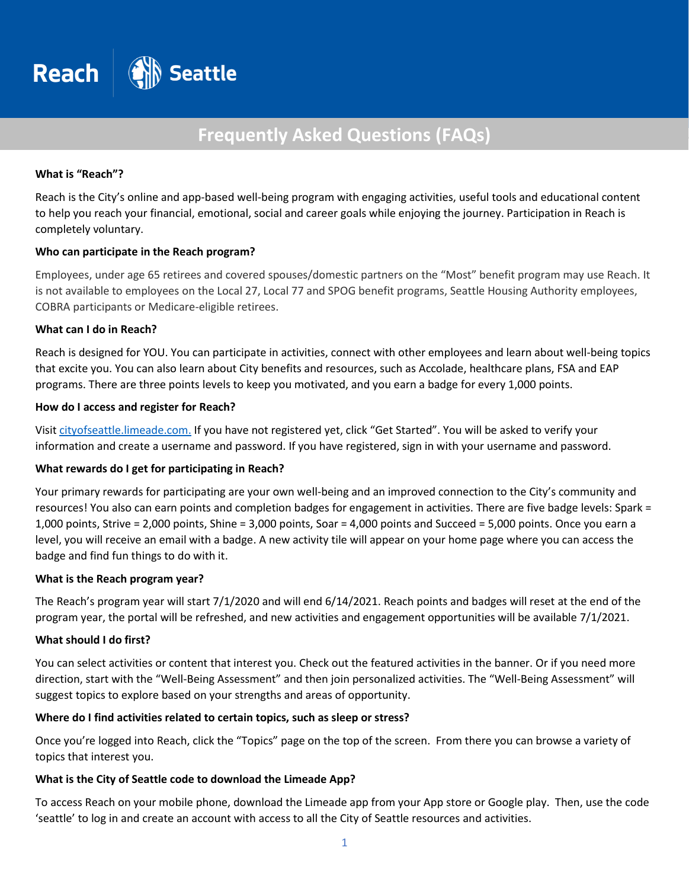

# **Frequently Asked Questions (FAQs)**

#### **What is "Reach"?**

Reach is the City's online and app-based well-being program with engaging activities, useful tools and educational content to help you reach your financial, emotional, social and career goals while enjoying the journey. Participation in Reach is completely voluntary.

#### **Who can participate in the Reach program?**

Employees, under age 65 retirees and covered spouses/domestic partners on the "Most" benefit program may use Reach. It is not available to employees on the Local 27, Local 77 and SPOG benefit programs, Seattle Housing Authority employees, COBRA participants or Medicare-eligible retirees.

#### **What can I do in Reach?**

Reach is designed for YOU. You can participate in activities, connect with other employees and learn about well-being topics that excite you. You can also learn about City benefits and resources, such as Accolade, healthcare plans, FSA and EAP programs. There are three points levels to keep you motivated, and you earn a badge for every 1,000 points.

#### **How do I access and register for Reach?**

Visi[t cityofseattle.limeade.com.](https://cityofseattle.limeade.com/) If you have not registered yet, click "Get Started". You will be asked to verify your information and create a username and password. If you have registered, sign in with your username and password.

## **What rewards do I get for participating in Reach?**

Your primary rewards for participating are your own well-being and an improved connection to the City's community and resources! You also can earn points and completion badges for engagement in activities. There are five badge levels: Spark = 1,000 points, Strive = 2,000 points, Shine = 3,000 points, Soar = 4,000 points and Succeed = 5,000 points. Once you earn a level, you will receive an email with a badge. A new activity tile will appear on your home page where you can access the badge and find fun things to do with it.

#### **What is the Reach program year?**

The Reach's program year will start 7/1/2020 and will end 6/14/2021. Reach points and badges will reset at the end of the program year, the portal will be refreshed, and new activities and engagement opportunities will be available 7/1/2021.

#### **What should I do first?**

You can select activities or content that interest you. Check out the featured activities in the banner. Or if you need more direction, start with the "Well-Being Assessment" and then join personalized activities. The "Well-Being Assessment" will suggest topics to explore based on your strengths and areas of opportunity.

#### **Where do I find activities related to certain topics, such as sleep or stress?**

Once you're logged into Reach, click the "Topics" page on the top of the screen. From there you can browse a variety of topics that interest you.

## **What is the City of Seattle code to download the Limeade App?**

To access Reach on your mobile phone, download the Limeade app from your App store or Google play. Then, use the code 'seattle' to log in and create an account with access to all the City of Seattle resources and activities.